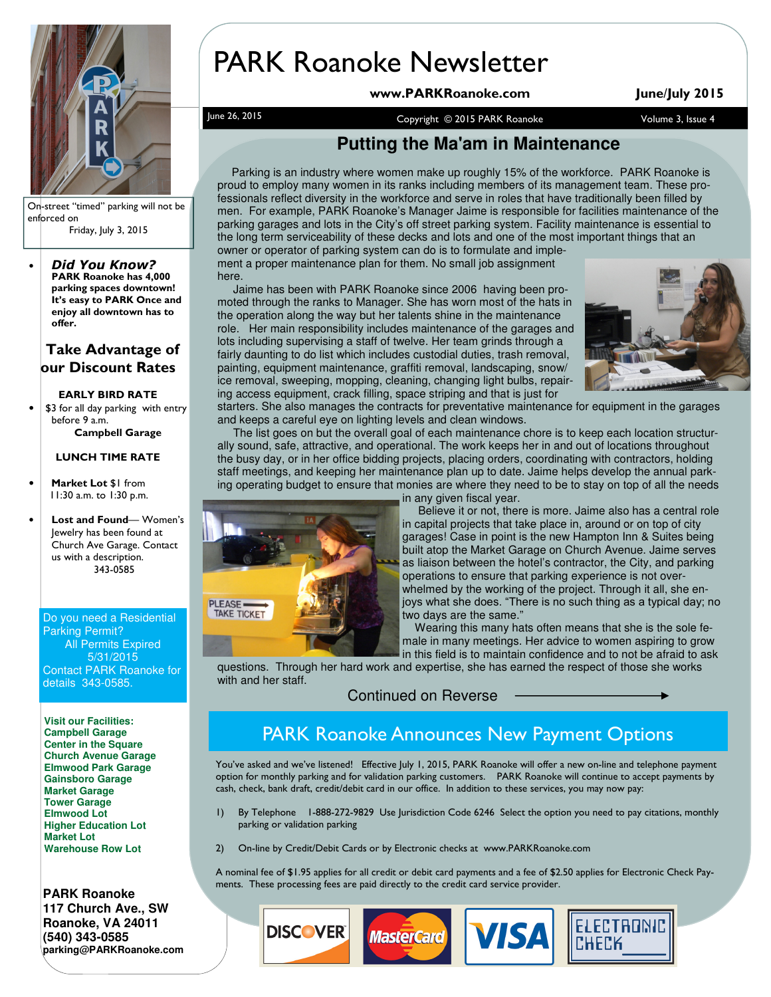

On-street "timed" parking will not be enforced on Friday, July 3, 2015

• Did You Know? PARK Roanoke has 4,000 parking spaces downtown! It's easy to PARK Once and enjoy all downtown has to offer.

### Take Advantage of our Discount Rates

### EARLY BIRD RATE

\$3 for all day parking with entry before 9 a.m. Campbell Garage

#### LUNCH TIME RATE

- Market Lot \$1 from 11:30 a.m. to 1:30 p.m.
- Lost and Found-Women's Jewelry has been found at Church Ave Garage. Contact us with a description. 343-0585

Do you need a Residential Parking Permit? All Permits Expired 5/31/2015 Contact PARK Roanoke for details 343-0585.

**Visit our Facilities: Campbell Garage Center in the Square Church Avenue Garage Elmwood Park Garage Gainsboro Garage Market Garage Tower Garage Elmwood Lot Higher Education Lot Market Lot Warehouse Row Lot** 

**PARK Roanoke 117 Church Ave., SW Roanoke, VA 24011 (540) 343-0585 parking@PARKRoanoke.com** 

# PARK Roanoke Newsletter

www.PARKRoanoke.com June/July 2015

June 26, 2015 <br>Copyright © 2015 PARK Roanoke Volume 3, Issue 4

## **Putting the Ma'am in Maintenance**

 Parking is an industry where women make up roughly 15% of the workforce. PARK Roanoke is proud to employ many women in its ranks including members of its management team. These professionals reflect diversity in the workforce and serve in roles that have traditionally been filled by men. For example, PARK Roanoke's Manager Jaime is responsible for facilities maintenance of the parking garages and lots in the City's off street parking system. Facility maintenance is essential to the long term serviceability of these decks and lots and one of the most important things that an owner or operator of parking system can do is to formulate and imple-

ment a proper maintenance plan for them. No small job assignment here.

 Jaime has been with PARK Roanoke since 2006 having been promoted through the ranks to Manager. She has worn most of the hats in the operation along the way but her talents shine in the maintenance role. Her main responsibility includes maintenance of the garages and lots including supervising a staff of twelve. Her team grinds through a fairly daunting to do list which includes custodial duties, trash removal, painting, equipment maintenance, graffiti removal, landscaping, snow/ ice removal, sweeping, mopping, cleaning, changing light bulbs, repairing access equipment, crack filling, space striping and that is just for



starters. She also manages the contracts for preventative maintenance for equipment in the garages and keeps a careful eye on lighting levels and clean windows.

 The list goes on but the overall goal of each maintenance chore is to keep each location structurally sound, safe, attractive, and operational. The work keeps her in and out of locations throughout the busy day, or in her office bidding projects, placing orders, coordinating with contractors, holding staff meetings, and keeping her maintenance plan up to date. Jaime helps develop the annual parking operating budget to ensure that monies are where they need to be to stay on top of all the needs



in any given fiscal year.

 Believe it or not, there is more. Jaime also has a central role in capital projects that take place in, around or on top of city garages! Case in point is the new Hampton Inn & Suites being built atop the Market Garage on Church Avenue. Jaime serves as liaison between the hotel's contractor, the City, and parking operations to ensure that parking experience is not overwhelmed by the working of the project. Through it all, she enjoys what she does. "There is no such thing as a typical day; no two days are the same."

 Wearing this many hats often means that she is the sole female in many meetings. Her advice to women aspiring to grow in this field is to maintain confidence and to not be afraid to ask

**ELECTRONIC** 

**CHECK** 

questions. Through her hard work and expertise, she has earned the respect of those she works with and her staff.

Continued on Reverse

# PARK Roanoke Announces New Payment Options

You've asked and we've listened! Effective July 1, 2015, PARK Roanoke will offer a new on-line and telephone payment option for monthly parking and for validation parking customers. PARK Roanoke will continue to accept payments by cash, check, bank draft, credit/debit card in our office. In addition to these services, you may now pay:

- 1) By Telephone 1-888-272-9829 Use Jurisdiction Code 6246 Select the option you need to pay citations, monthly parking or validation parking
- 2) On-line by Credit/Debit Cards or by Electronic checks at www.PARKRoanoke.com

A nominal fee of \$1.95 applies for all credit or debit card payments and a fee of \$2.50 applies for Electronic Check Payments. These processing fees are paid directly to the credit card service provider.